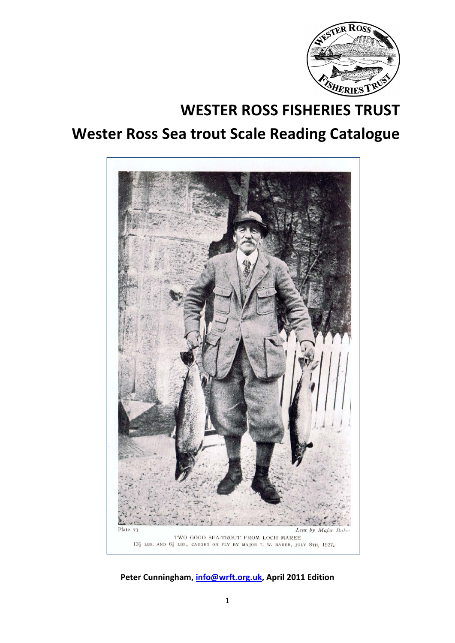

# **WESTER ROSS FISHERIES TRUST Wester Ross Sea trout Scale Reading Catalogue**



**Peter Cunningham, info@wrft.org.uk, April 2011 Edition**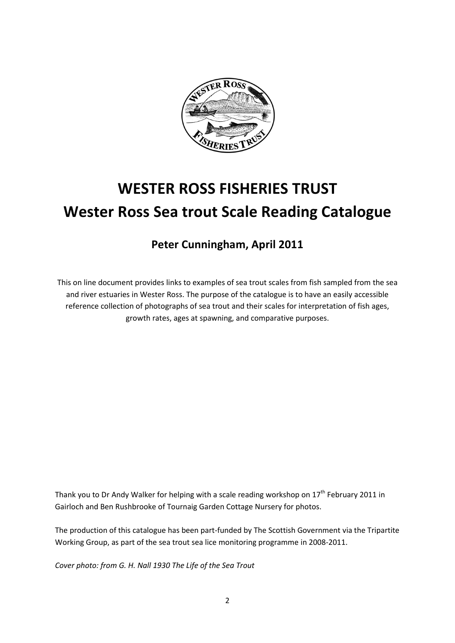

# **WESTER ROSS FISHERIES TRUST Wester Ross Sea trout Scale Reading Catalogue**

# **Peter Cunningham, April 2011**

This on line document provides links to examples of sea trout scales from fish sampled from the sea and river estuaries in Wester Ross. The purpose of the catalogue is to have an easily accessible reference collection of photographs of sea trout and their scales for interpretation of fish ages, growth rates, ages at spawning, and comparative purposes.

Thank you to Dr Andy Walker for helping with a scale reading workshop on  $17<sup>th</sup>$  February 2011 in Gairloch and Ben Rushbrooke of Tournaig Garden Cottage Nursery for photos.

The production of this catalogue has been part-funded by The Scottish Government via the Tripartite Working Group, as part of the sea trout sea lice monitoring programme in 2008-2011.

*Cover photo: from G. H. Nall 1930 The Life of the Sea Trout*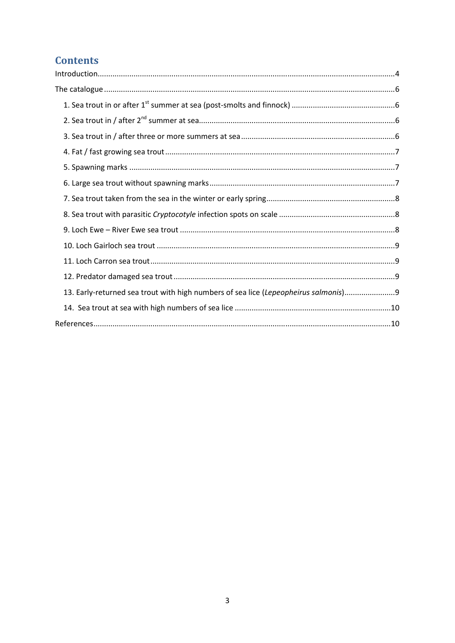# **Contents**

| 13. Early-returned sea trout with high numbers of sea lice (Lepeopheirus salmonis)9 |  |
|-------------------------------------------------------------------------------------|--|
|                                                                                     |  |
|                                                                                     |  |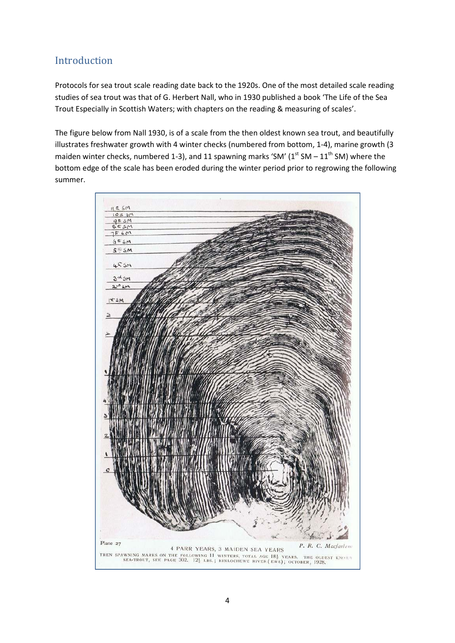# Introduction

Protocols for sea trout scale reading date back to the 1920s. One of the most detailed scale reading studies of sea trout was that of G. Herbert Nall, who in 1930 published a book 'The Life of the Sea Trout Especially in Scottish Waters; with chapters on the reading & measuring of scales'.

The figure below from Nall 1930, is of a scale from the then oldest known sea trout, and beautifully illustrates freshwater growth with 4 winter checks (numbered from bottom, 1-4), marine growth (3 maiden winter checks, numbered 1-3), and 11 spawning marks 'SM' ( $1<sup>st</sup>$  SM –  $11<sup>th</sup>$  SM) where the bottom edge of the scale has been eroded during the winter period prior to regrowing the following summer.

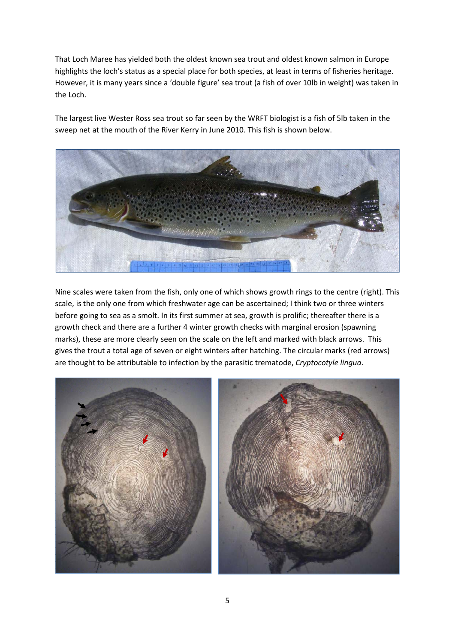That Loch Maree has yielded both the oldest known sea trout and oldest known salmon in Europe highlights the loch's status as a special place for both species, at least in terms of fisheries heritage. However, it is many years since a 'double figure' sea trout (a fish of over 10lb in weight) was taken in the Loch.

The largest live Wester Ross sea trout so far seen by the WRFT biologist is a fish of 5lb taken in the sweep net at the mouth of the River Kerry in June 2010. This fish is shown below.



Nine scales were taken from the fish, only one of which shows growth rings to the centre (right). This scale, is the only one from which freshwater age can be ascertained; I think two or three winters before going to sea as a smolt. In its first summer at sea, growth is prolific; thereafter there is a growth check and there are a further 4 winter growth checks with marginal erosion (spawning marks), these are more clearly seen on the scale on the left and marked with black arrows. This gives the trout a total age of seven or eight winters after hatching. The circular marks (red arrows) are thought to be attributable to infection by the parasitic trematode, *Cryptocotyle lingua*.



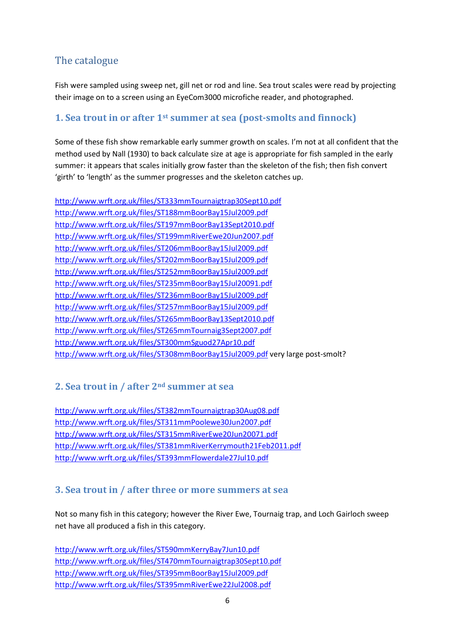# The catalogue

Fish were sampled using sweep net, gill net or rod and line. Sea trout scales were read by projecting their image on to a screen using an EyeCom3000 microfiche reader, and photographed.

# **1. Sea trout in or after 1st summer at sea (post-smolts and finnock)**

Some of these fish show remarkable early summer growth on scales. I'm not at all confident that the method used by Nall (1930) to back calculate size at age is appropriate for fish sampled in the early summer: it appears that scales initially grow faster than the skeleton of the fish; then fish convert 'girth' to 'length' as the summer progresses and the skeleton catches up.

http://www.wrft.org.uk/files/ST333mmTournaigtrap30Sept10.pdf http://www.wrft.org.uk/files/ST188mmBoorBay15Jul2009.pdf http://www.wrft.org.uk/files/ST197mmBoorBay13Sept2010.pdf http://www.wrft.org.uk/files/ST199mmRiverEwe20Jun2007.pdf http://www.wrft.org.uk/files/ST206mmBoorBay15Jul2009.pdf http://www.wrft.org.uk/files/ST202mmBoorBay15Jul2009.pdf http://www.wrft.org.uk/files/ST252mmBoorBay15Jul2009.pdf http://www.wrft.org.uk/files/ST235mmBoorBay15Jul20091.pdf http://www.wrft.org.uk/files/ST236mmBoorBay15Jul2009.pdf http://www.wrft.org.uk/files/ST257mmBoorBay15Jul2009.pdf http://www.wrft.org.uk/files/ST265mmBoorBay13Sept2010.pdf http://www.wrft.org.uk/files/ST265mmTournaig3Sept2007.pdf http://www.wrft.org.uk/files/ST300mmSguod27Apr10.pdf http://www.wrft.org.uk/files/ST308mmBoorBay15Jul2009.pdf very large post-smolt?

# **2. Sea trout in / after 2nd summer at sea**

http://www.wrft.org.uk/files/ST382mmTournaigtrap30Aug08.pdf http://www.wrft.org.uk/files/ST311mmPoolewe30Jun2007.pdf http://www.wrft.org.uk/files/ST315mmRiverEwe20Jun20071.pdf http://www.wrft.org.uk/files/ST381mmRiverKerrymouth21Feb2011.pdf http://www.wrft.org.uk/files/ST393mmFlowerdale27Jul10.pdf

# **3. Sea trout in / after three or more summers at sea**

Not so many fish in this category; however the River Ewe, Tournaig trap, and Loch Gairloch sweep net have all produced a fish in this category.

http://www.wrft.org.uk/files/ST590mmKerryBay7Jun10.pdf http://www.wrft.org.uk/files/ST470mmTournaigtrap30Sept10.pdf http://www.wrft.org.uk/files/ST395mmBoorBay15Jul2009.pdf http://www.wrft.org.uk/files/ST395mmRiverEwe22Jul2008.pdf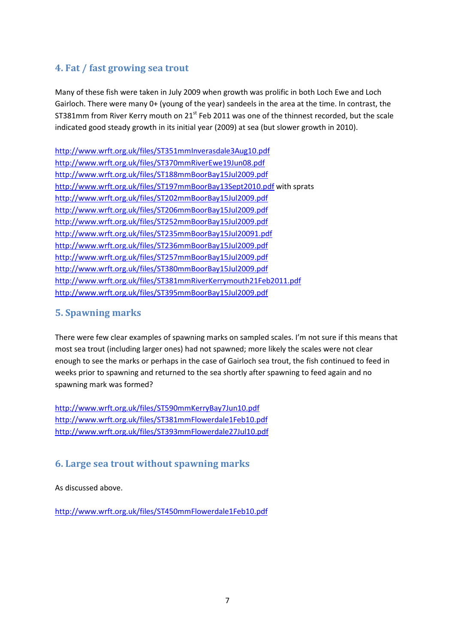# **4. Fat / fast growing sea trout**

Many of these fish were taken in July 2009 when growth was prolific in both Loch Ewe and Loch Gairloch. There were many 0+ (young of the year) sandeels in the area at the time. In contrast, the ST381mm from River Kerry mouth on 21<sup>st</sup> Feb 2011 was one of the thinnest recorded, but the scale indicated good steady growth in its initial year (2009) at sea (but slower growth in 2010).

http://www.wrft.org.uk/files/ST351mmInverasdale3Aug10.pdf http://www.wrft.org.uk/files/ST370mmRiverEwe19Jun08.pdf http://www.wrft.org.uk/files/ST188mmBoorBay15Jul2009.pdf http://www.wrft.org.uk/files/ST197mmBoorBay13Sept2010.pdf with sprats http://www.wrft.org.uk/files/ST202mmBoorBay15Jul2009.pdf http://www.wrft.org.uk/files/ST206mmBoorBay15Jul2009.pdf http://www.wrft.org.uk/files/ST252mmBoorBay15Jul2009.pdf http://www.wrft.org.uk/files/ST235mmBoorBay15Jul20091.pdf http://www.wrft.org.uk/files/ST236mmBoorBay15Jul2009.pdf http://www.wrft.org.uk/files/ST257mmBoorBay15Jul2009.pdf http://www.wrft.org.uk/files/ST380mmBoorBay15Jul2009.pdf http://www.wrft.org.uk/files/ST381mmRiverKerrymouth21Feb2011.pdf http://www.wrft.org.uk/files/ST395mmBoorBay15Jul2009.pdf

# **5. Spawning marks**

There were few clear examples of spawning marks on sampled scales. I'm not sure if this means that most sea trout (including larger ones) had not spawned; more likely the scales were not clear enough to see the marks or perhaps in the case of Gairloch sea trout, the fish continued to feed in weeks prior to spawning and returned to the sea shortly after spawning to feed again and no spawning mark was formed?

http://www.wrft.org.uk/files/ST590mmKerryBay7Jun10.pdf http://www.wrft.org.uk/files/ST381mmFlowerdale1Feb10.pdf http://www.wrft.org.uk/files/ST393mmFlowerdale27Jul10.pdf

# **6. Large sea trout without spawning marks**

#### As discussed above.

http://www.wrft.org.uk/files/ST450mmFlowerdale1Feb10.pdf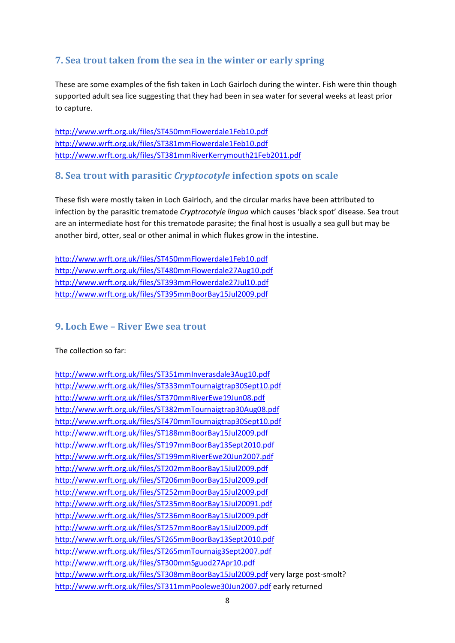# **7. Sea trout taken from the sea in the winter or early spring**

These are some examples of the fish taken in Loch Gairloch during the winter. Fish were thin though supported adult sea lice suggesting that they had been in sea water for several weeks at least prior to capture.

http://www.wrft.org.uk/files/ST450mmFlowerdale1Feb10.pdf http://www.wrft.org.uk/files/ST381mmFlowerdale1Feb10.pdf http://www.wrft.org.uk/files/ST381mmRiverKerrymouth21Feb2011.pdf

## **8. Sea trout with parasitic** *Cryptocotyle* **infection spots on scale**

These fish were mostly taken in Loch Gairloch, and the circular marks have been attributed to infection by the parasitic trematode *Cryptrocotyle lingua* which causes 'black spot' disease. Sea trout are an intermediate host for this trematode parasite; the final host is usually a sea gull but may be another bird, otter, seal or other animal in which flukes grow in the intestine.

http://www.wrft.org.uk/files/ST450mmFlowerdale1Feb10.pdf http://www.wrft.org.uk/files/ST480mmFlowerdale27Aug10.pdf http://www.wrft.org.uk/files/ST393mmFlowerdale27Jul10.pdf http://www.wrft.org.uk/files/ST395mmBoorBay15Jul2009.pdf

## **9. Loch Ewe – River Ewe sea trout**

The collection so far:

http://www.wrft.org.uk/files/ST351mmInverasdale3Aug10.pdf http://www.wrft.org.uk/files/ST333mmTournaigtrap30Sept10.pdf http://www.wrft.org.uk/files/ST370mmRiverEwe19Jun08.pdf http://www.wrft.org.uk/files/ST382mmTournaigtrap30Aug08.pdf http://www.wrft.org.uk/files/ST470mmTournaigtrap30Sept10.pdf http://www.wrft.org.uk/files/ST188mmBoorBay15Jul2009.pdf http://www.wrft.org.uk/files/ST197mmBoorBay13Sept2010.pdf http://www.wrft.org.uk/files/ST199mmRiverEwe20Jun2007.pdf http://www.wrft.org.uk/files/ST202mmBoorBay15Jul2009.pdf http://www.wrft.org.uk/files/ST206mmBoorBay15Jul2009.pdf http://www.wrft.org.uk/files/ST252mmBoorBay15Jul2009.pdf http://www.wrft.org.uk/files/ST235mmBoorBay15Jul20091.pdf http://www.wrft.org.uk/files/ST236mmBoorBay15Jul2009.pdf http://www.wrft.org.uk/files/ST257mmBoorBay15Jul2009.pdf http://www.wrft.org.uk/files/ST265mmBoorBay13Sept2010.pdf http://www.wrft.org.uk/files/ST265mmTournaig3Sept2007.pdf http://www.wrft.org.uk/files/ST300mmSguod27Apr10.pdf http://www.wrft.org.uk/files/ST308mmBoorBay15Jul2009.pdf very large post-smolt? http://www.wrft.org.uk/files/ST311mmPoolewe30Jun2007.pdf early returned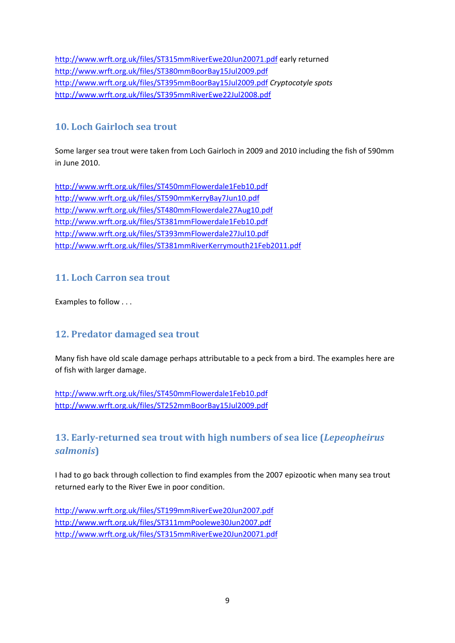http://www.wrft.org.uk/files/ST315mmRiverEwe20Jun20071.pdf early returned http://www.wrft.org.uk/files/ST380mmBoorBay15Jul2009.pdf http://www.wrft.org.uk/files/ST395mmBoorBay15Jul2009.pdf *Cryptocotyle spots*  http://www.wrft.org.uk/files/ST395mmRiverEwe22Jul2008.pdf

# **10. Loch Gairloch sea trout**

Some larger sea trout were taken from Loch Gairloch in 2009 and 2010 including the fish of 590mm in June 2010.

http://www.wrft.org.uk/files/ST450mmFlowerdale1Feb10.pdf http://www.wrft.org.uk/files/ST590mmKerryBay7Jun10.pdf http://www.wrft.org.uk/files/ST480mmFlowerdale27Aug10.pdf http://www.wrft.org.uk/files/ST381mmFlowerdale1Feb10.pdf http://www.wrft.org.uk/files/ST393mmFlowerdale27Jul10.pdf http://www.wrft.org.uk/files/ST381mmRiverKerrymouth21Feb2011.pdf

## **11. Loch Carron sea trout**

Examples to follow . . .

## **12. Predator damaged sea trout**

Many fish have old scale damage perhaps attributable to a peck from a bird. The examples here are of fish with larger damage.

http://www.wrft.org.uk/files/ST450mmFlowerdale1Feb10.pdf http://www.wrft.org.uk/files/ST252mmBoorBay15Jul2009.pdf

# **13. Early-returned sea trout with high numbers of sea lice (***Lepeopheirus salmonis***)**

I had to go back through collection to find examples from the 2007 epizootic when many sea trout returned early to the River Ewe in poor condition.

http://www.wrft.org.uk/files/ST199mmRiverEwe20Jun2007.pdf http://www.wrft.org.uk/files/ST311mmPoolewe30Jun2007.pdf http://www.wrft.org.uk/files/ST315mmRiverEwe20Jun20071.pdf